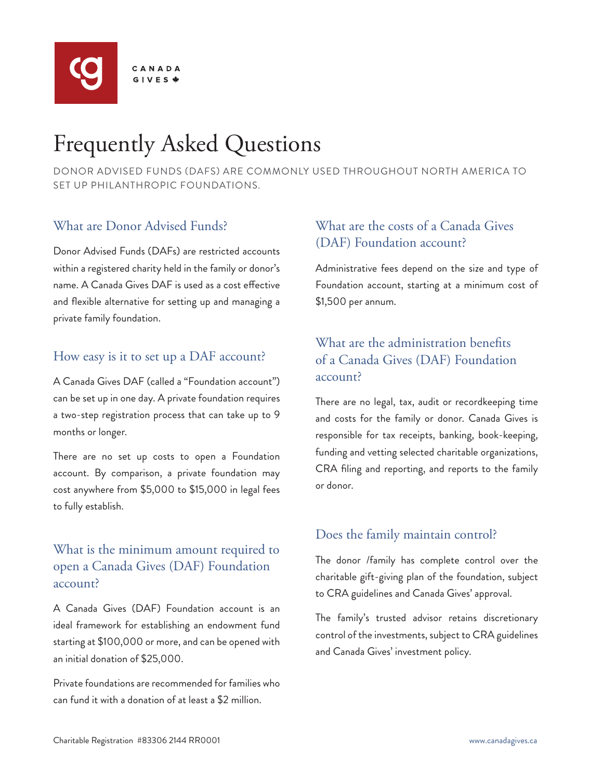

# Frequently Asked Questions

DONOR ADVISED FUNDS (DAFS) ARE COMMONLY USED THROUGHOUT NORTH AMERICA TO SET UP PHILANTHROPIC FOUNDATIONS.

## What are Donor Advised Funds?

Donor Advised Funds (DAFs) are restricted accounts within a registered charity held in the family or donor's name. A Canada Gives DAF is used as a cost effective and flexible alternative for setting up and managing a private family foundation.

#### How easy is it to set up a DAF account?

A Canada Gives DAF (called a "Foundation account") can be set up in one day. A private foundation requires a two-step registration process that can take up to 9 months or longer.

There are no set up costs to open a Foundation account. By comparison, a private foundation may cost anywhere from \$5,000 to \$15,000 in legal fees to fully establish.

## What is the minimum amount required to open a Canada Gives (DAF) Foundation account?

A Canada Gives (DAF) Foundation account is an ideal framework for establishing an endowment fund starting at \$100,000 or more, and can be opened with an initial donation of \$25,000.

Private foundations are recommended for families who can fund it with a donation of at least a \$2 million.

## What are the costs of a Canada Gives (DAF) Foundation account?

Administrative fees depend on the size and type of Foundation account, starting at a minimum cost of \$1,500 per annum.

## What are the administration benefits of a Canada Gives (DAF) Foundation account?

There are no legal, tax, audit or recordkeeping time and costs for the family or donor. Canada Gives is responsible for tax receipts, banking, book-keeping, funding and vetting selected charitable organizations, CRA filing and reporting, and reports to the family or donor.

## Does the family maintain control?

The donor /family has complete control over the charitable gift-giving plan of the foundation, subject to CRA guidelines and Canada Gives' approval.

The family's trusted advisor retains discretionary control of the investments, subject to CRA guidelines and Canada Gives' investment policy.